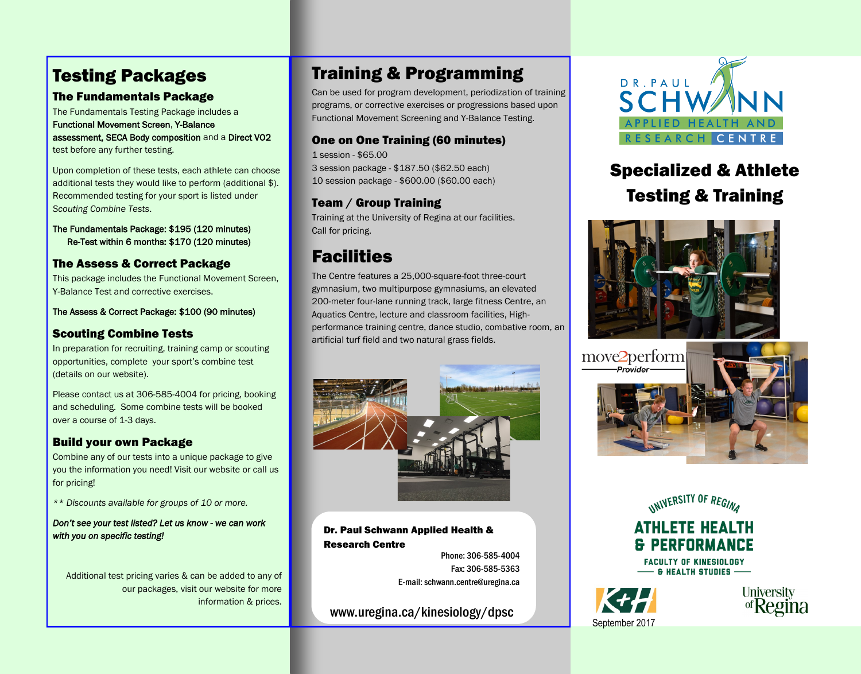# Testing Packages

# The Fundamentals Package

The Fundamentals Testing Package includes a [Functional Movement Screen,](http://www.uregina.ca/kinesiology/dpsc/High%20Performance/FMS.html) [Y-Balance](http://www.uregina.ca/kinesiology/dpsc/High%20Performance/Y-Balance.html)  [assessment,](http://www.uregina.ca/kinesiology/dpsc/High%20Performance/Y-Balance.html) [SECA Body composition a](http://www.uregina.ca/kinesiology/dpsc/High%20Performance/SECA.html)nd a [Direct VO2](http://www.uregina.ca/kinesiology/dpsc/High%20Performance/Direct%20VO2Max.html)  [test](http://www.uregina.ca/kinesiology/dpsc/High%20Performance/Direct%20VO2Max.html) before any further testing.

Upon completion of these tests, each athlete can choose additional tests they would like to perform (additional \$). Recommended testing for your sport is listed under *[Scouting Combine Tests](http://www.uregina.ca/kinesiology/dpsc/High%20Performance/Scouting%20Combine%20Tests.html)*.

The Fundamentals Package: \$195 (120 minutes) Re-Test within 6 months: \$170 (120 minutes)

# The Assess & Correct Package

This package includes the Functional Movement Screen, Y-Balance Test and corrective exercises.

The Assess & Correct Package: \$100 (90 minutes)

## Scouting Combine Tests

In preparation for recruiting, training camp or scouting opportunities, complete your sport's combine test (details on our website).

Please contact us at 306-585-4004 for pricing, booking and scheduling. Some combine tests will be booked over a course of 1-3 days.

# Build your own Package

Combine any of our tests into a unique package to give you the information you need! Visit our website or call us for pricing!

*\*\* Discounts available for groups of 10 or more.*

*Don't see your test listed? Let us know - we can work with you on specific testing!* 

Additional test pricing varies & can be added to any of our packages, visit our website for more information & prices.

# Training & Programming

Can be used for program development, periodization of training programs, or corrective exercises or progressions based upon Functional Movement Screening and Y-Balance Testing.

## One on One Training (60 minutes)

1 session - \$65.00 3 session package - \$187.50 (\$62.50 each) 10 session package - \$600.00 (\$60.00 each)

# Team / Group Training

Training at the University of Regina at our facilities. Call for pricing.

# Facilities

The Centre features a 25,000-square-foot three-court gymnasium, two multipurpose gymnasiums, an elevated 200-meter four-lane running track, large fitness Centre, an Aquatics Centre, lecture and classroom facilities, Highperformance training centre, dance studio, combative room, an artificial turf field and two natural grass fields.



### Dr. Paul Schwann Applied Health & Research Centre

Phone: 306-585-4004 Phone: 306-585-4004 Fax: 306-585-5363 Fax: 306-585-5363 E-mail: schwann.centre@uregina.ca E-mail: schwann.centre@uregina.ca

www.uregina.ca/kinesiology/dpsc www.uregina.ca/kinesiology/dpsc



# Specialized & Athlete Testing & Training









**FACULTY OF KINESIOLOGY**  $\overline{\phantom{a}}$   $\overline{\phantom{a}}$   $\overline{\phantom{a}}$   $\overline{\phantom{a}}$   $\overline{\phantom{a}}$   $\overline{\phantom{a}}$   $\overline{\phantom{a}}$   $\overline{\phantom{a}}$   $\overline{\phantom{a}}$   $\overline{\phantom{a}}$   $\overline{\phantom{a}}$   $\overline{\phantom{a}}$   $\overline{\phantom{a}}$   $\overline{\phantom{a}}$   $\overline{\phantom{a}}$   $\overline{\phantom{a}}$   $\overline{\phantom{a}}$   $\overline{\phantom{a}}$   $\overline{\$